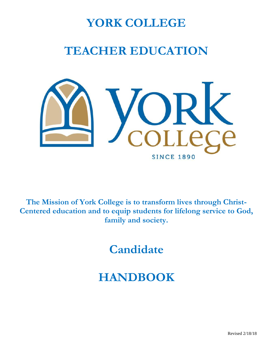# **YORK COLLEGE**

# **TEACHER EDUCATION**



**The Mission of York College is to transform lives through Christ-Centered education and to equip students for lifelong service to God, family and society.** 

**Candidate** 

# **HANDBOOK**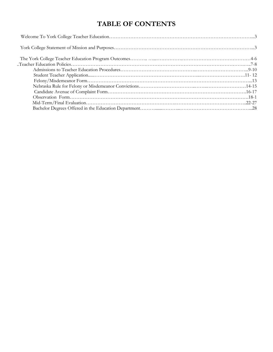# **TABLE OF CONTENTS**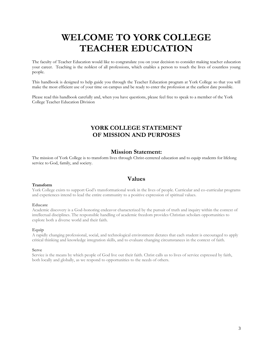# **WELCOME TO YORK COLLEGE TEACHER EDUCATION**

The faculty of Teacher Education would like to congratulate you on your decision to consider making teacher education your career. Teaching is the noblest of all professions, which enables a person to touch the lives of countless young people.

This handbook is designed to help guide you through the Teacher Education program at York College so that you will make the most efficient use of your time on campus and be ready to enter the profession at the earliest date possible.

Please read this handbook carefully and, when you have questions, please feel free to speak to a member of the York College Teacher Education Division

# **YORK COLLEGE STATEMENT OF MISSION AND PURPOSES**

# **Mission Statement:**

The mission of York College is to transform lives through Christ-centered education and to equip students for lifelong service to God, family, and society.

# **Values**

#### **Transform**

York College exists to support God's transformational work in the lives of people. Curricular and co-curricular programs and experiences intend to lead the entire community to a positive expression of spiritual values.

#### **Educate**

Academic discovery is a God-honoring endeavor characterized by the pursuit of truth and inquiry within the context of intellectual disciplines. The responsible handling of academic freedom provides Christian scholars opportunities to explore both a diverse world and their faith.

#### **Equip**

A rapidly changing professional, social, and technological environment dictates that each student is encouraged to apply critical thinking and knowledge integration skills, and to evaluate changing circumstances in the context of faith.

#### **Serve**

Service is the means by which people of God live out their faith. Christ calls us to lives of service expressed by faith, both locally and globally, as we respond to opportunities to the needs of others.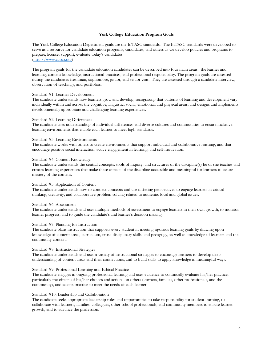#### **York College Education Program Goals**

The York College Education Department goals are the InTASC standards. The InTASC standards were developed to serve as a resource for candidate education programs, candidates, and others as we develop policies and programs to prepare, license, support, evaluate today's candidates. [\(http://www.ccsso.org\)](http://www.ccsso.org/)

The program goals for the candidate education candidates can be described into four main areas: the learner and learning, content knowledge, instructional practices, and professional responsibility. The program goals are assessed during the candidates freshman, sophomore, junior, and senior year. They are assessed through a candidate interview, observation of teachings, and portfolios.

#### Standard #1: Learner Development

The candidate understands how learners grow and develop, recognizing that patterns of learning and development vary individually within and across the cognitive, linguistic, social, emotional, and physical areas, and designs and implements developmentally appropriate and challenging learning experiences.

#### Standard #2: Learning Differences

The candidate uses understanding of individual differences and diverse cultures and communities to ensure inclusive learning environments that enable each learner to meet high standards.

#### Standard #3: Learning Environments

The candidate works with others to create environments that support individual and collaborative learning, and that encourage positive social interaction, active engagement in learning, and self-motivation.

#### Standard #4: Content Knowledge

The candidate understands the central concepts, tools of inquiry, and structures of the discipline(s) he or she teaches and creates learning experiences that make these aspects of the discipline accessible and meaningful for learners to assure mastery of the content.

#### Standard #5: Application of Content

The candidate understands how to connect concepts and use differing perspectives to engage learners in critical thinking, creativity, and collaborative problem solving related to authentic local and global issues.

#### Standard #6: Assessment

The candidate understands and uses multiple methods of assessment to engage learners in their own growth, to monitor learner progress, and to guide the candidate's and learner's decision making.

#### Standard #7: Planning for Instruction

The candidate plans instruction that supports every student in meeting rigorous learning goals by drawing upon knowledge of content areas, curriculum, cross-disciplinary skills, and pedagogy, as well as knowledge of learners and the community context.

#### Standard #8: Instructional Strategies

The candidate understands and uses a variety of instructional strategies to encourage learners to develop deep understanding of content areas and their connections, and to build skills to apply knowledge in meaningful ways.

#### Standard #9: Professional Learning and Ethical Practice

The candidate engages in ongoing professional learning and uses evidence to continually evaluate his/her practice, particularly the effects of his/her choices and actions on others (learners, families, other professionals, and the community), and adapts practice to meet the needs of each learner.

#### Standard #10: Leadership and Collaboration

The candidate seeks appropriate leadership roles and opportunities to take responsibility for student learning, to collaborate with learners, families, colleagues, other school professionals, and community members to ensure learner growth, and to advance the profession.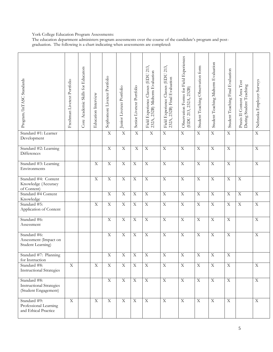#### York College Education Program Assessments:

The education department administers program assessments over the course of the candidate's program and postgraduation. The following is a chart indicating when assessments are completed:

| Program/InTASC Standards                                                | Freshman Livetext Portfolio | Core Academic Skills for Educators | Education Interview | Sophomore Livetext Portfolio | Junior Livetext Portfolio | Senior Livetext Portfolio | Field Experience Classes (EDU 213,<br>232A, 232B) Midterm Evaluation | 213,<br>Field Experience Classes (EDU<br>232A, 232B) Final Evaluation | Observation Forms for Field Experiences<br>232B)<br>(EDU 213, 232A, | Student Teaching Observation form | Student Teaching Midterm Evaluation | Student Teaching Final Evaluation | Praxis II Content Area Test<br>During Student Teaching | Nebraska Employer Surveys |
|-------------------------------------------------------------------------|-----------------------------|------------------------------------|---------------------|------------------------------|---------------------------|---------------------------|----------------------------------------------------------------------|-----------------------------------------------------------------------|---------------------------------------------------------------------|-----------------------------------|-------------------------------------|-----------------------------------|--------------------------------------------------------|---------------------------|
| Standard #1: Learner<br>Development                                     |                             |                                    |                     | $\mathbf X$                  | $\overline{\mathbf{X}}$   | $\overline{X}$            | $\overline{X}$                                                       | $\overline{X}$                                                        | $\overline{X}$                                                      | $\overline{X}$                    | $\overline{X}$                      | $\overline{X}$                    |                                                        | $\overline{X}$            |
| Standard #2: Learning<br>Differences                                    |                             |                                    |                     | $\mathbf X$                  | $\mathbf X$               | $\mathbf X$               | $\mathbf X$                                                          | $\mathbf X$                                                           | $\mathbf X$                                                         | $\mathbf X$                       | $\mathbf X$                         | $\mathbf X$                       |                                                        | $\mathbf X$               |
| Standard #3: Learning<br>Environments                                   |                             |                                    | $\mathbf X$         | $\mathbf X$                  | $\overline{\mathbf{X}}$   | $\overline{X}$            | $\overline{X}$                                                       | $\overline{X}$                                                        | $\overline{X}$                                                      | $\overline{X}$                    | $\overline{X}$                      | $\mathbf X$                       |                                                        | $\overline{X}$            |
| Standard #4: Content<br>Knowledge (Accuracy<br>of Content)              |                             |                                    | $\mathbf X$         | $\mathbf X$                  | $\mathbf X$               | $\mathbf X$               | $\mathbf X$                                                          | $\overline{X}$                                                        | $\overline{X}$                                                      | $\mathbf X$                       | $\overline{X}$                      | $\mathbf X$                       | $\overline{X}$                                         |                           |
| Standard #4 Content<br>Knowledge                                        |                             |                                    |                     | $\mathbf X$                  | $\mathbf X$               | $\mathbf X$               | $\mathbf X$                                                          | $\overline{X}$                                                        | $\mathbf X$                                                         | $\mathbf X$                       | $\overline{X}$                      | $\mathbf X$                       | $\overline{\mathbf{X}}$                                | $\mathbf X$               |
| Standard #5:<br>Application of Content                                  |                             |                                    | $\mathbf X$         | $\mathbf X$                  | $\mathbf X$               | $\mathbf X$               | $\mathbf X$                                                          | $\overline{X}$                                                        | $\mathbf X$                                                         | $\mathbf X$                       | $\overline{X}$                      | $\mathbf X$                       | $\overline{\mathbf{X}}$                                | $\overline{X}$            |
| Standard #6:<br>Assessment                                              |                             |                                    |                     | $\mathbf X$                  | $\mathbf X$               | $\mathbf X$               | $\mathbf X$                                                          | $\overline{X}$                                                        | $\mathbf X$                                                         | $\overline{X}$                    | $\overline{\mathbf{X}}$             | $\mathbf X$                       |                                                        | $\mathbf X$               |
| Standard #6:<br>Assessment (Impact on<br>Student Learning)              |                             |                                    |                     | $\mathbf X$                  | $\mathbf X$               | $\mathbf X$               | $\mathbf X$                                                          | $\mathbf X$                                                           | $\mathbf X$                                                         | $\mathbf X$                       | $\mathbf X$                         | $\mathbf X$                       |                                                        | $\mathbf X$               |
| Standard #7: Planning<br>for Instruction                                |                             |                                    |                     | $\mathbf X$                  | $\overline{X}$            | $\mathbf X$               | $\mathbf X$                                                          | $\overline{X}$                                                        | $\overline{X}$                                                      | $\overline{X}$                    | $\overline{X}$                      | $\mathbf X$                       |                                                        |                           |
| Standard #8:<br><b>Instructional Strategies</b>                         | $\mathbf X$                 |                                    | $\mathbf X$         | $\mathbf X$                  | $\mathbf X$               | $\overline{X}$            | $\overline{\mathbf{X}}$                                              | $\overline{X}$                                                        | $\overline{X}$                                                      | $\overline{\mathbf{X}}$           | $\overline{X}$                      | $\overline{X}$                    |                                                        | $\overline{X}$            |
| Standard #8:<br><b>Instructional Strategies</b><br>(Student Engagement) |                             |                                    |                     | $\mathbf X$                  | $\overline{X}$            | $\mathbf X$               | $\overline{\mathbf{X}}$                                              | $\overline{X}$                                                        | $\overline{X}$                                                      | $\overline{X}$                    | $\overline{X}$                      | $\mathbf X$                       |                                                        | $\overline{X}$            |
| Standard #9:<br>Professional Learning<br>and Ethical Practice           | $\mathbf X$                 |                                    | $\mathbf X$         | $\mathbf X$                  | $\mathbf X$               | $\mathbf X$               | $\mathbf X$                                                          | $\mathbf X$                                                           | $\mathbf X$                                                         | $\mathbf X$                       | $\mathbf X$                         | $\mathbf X$                       |                                                        | $\mathbf X$               |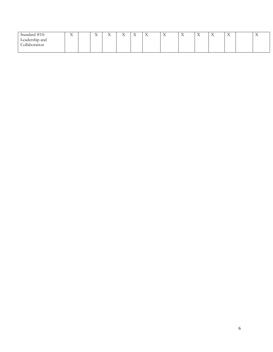| $\#$ 10.<br>$\lambda$ tandard $\#$ 10. | $\mathbf{v}$<br>$\overline{A}$<br>and the state of the con- | $\mathbf{v}$<br>$\overline{1}$<br>and the control of the con- | $-$<br>$\overline{ }$<br>and the control of the con- | $\mathbf{v}$<br>$\overline{1}$<br>and the state of the con- | $\mathbf{v}$<br>$\overline{1}$ | $\mathbf{v}$<br>$\Delta$ | $-$<br>$\overline{A}$<br>and the control of the con- | $\mathbf{v}$<br>$\overline{1}$<br>and the state of the con- | $\sim$ $\sim$<br>$\overline{A}$<br>and the control of the con- | $\mathbf{v}$<br>$\Delta$ | $\mathbf{v}$<br>$\Lambda$ | $\mathbf{v}$<br>$\Delta$ |
|----------------------------------------|-------------------------------------------------------------|---------------------------------------------------------------|------------------------------------------------------|-------------------------------------------------------------|--------------------------------|--------------------------|------------------------------------------------------|-------------------------------------------------------------|----------------------------------------------------------------|--------------------------|---------------------------|--------------------------|
| $\sim$ $\sim$<br>Leadership and        |                                                             |                                                               |                                                      |                                                             |                                |                          |                                                      |                                                             |                                                                |                          |                           |                          |
| 11 <sub>1</sub><br>ollaboration        |                                                             |                                                               |                                                      |                                                             |                                |                          |                                                      |                                                             |                                                                |                          |                           |                          |
|                                        |                                                             |                                                               |                                                      |                                                             |                                |                          |                                                      |                                                             |                                                                |                          |                           |                          |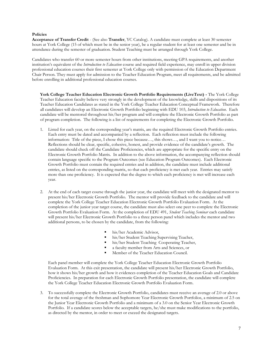#### **Policies**

**Acceptance of Transfer Credit** - (See also **Transfer**, YC Catalog). A candidate must complete at least 30 semester hours at York College (15 of which must be in the senior year), be a regular student for at least one semester and be in attendance during the semester of graduation. Student Teaching must be arranged through York College.

Candidates who transfer 60 or more semester hours from other institutions, meeting GPA requirements, and another institution's equivalent of the *Introduction to Education* course and required field experience, may enroll in upper division professional education courses their first semester at York College only with permission of the Education Department Chair Person. They must apply for admission to the Teacher Education Program, meet all requirements, and be admitted before enrolling in additional professional education courses.

**York College Teacher Education Electronic Growth Portfolio Requirements (LiveText) -** The York College Teacher Education faculty believe very strongly in the development of the knowledge, skills and dispositions of its Teacher Education Candidates as stated in the York College Teacher Education Conceptual Framework. Therefore all candidates will develop an Electronic Growth Portfolio beginning with EDU 103, *Introduction to Education*. Each candidate will be mentored throughout his/her program and will complete the Electronic Growth Portfolio as part of program completion. The following is a list of requirements for completing the Electronic Growth Portfolio.

- 1. Listed for each year, on the corresponding year's matrix, are the required Electronic Growth Portfolio entries. Each entry must be dated and accompanied by a reflection. Each reflection must include the following information: Title of the piece, I chose this piece because…, this shows…, and I want you to notice… Reflections should be clear, specific, cohesive, honest, and provide evidence of the candidate's growth. The candidate should check off the Candidate Proficiencies, which are appropriate for the specific entry on the Electronic Growth Portfolio Matrix. In addition to the above information, the accompanying reflection should contain language specific to the Program Outcomes (see Education Program Outcomes). Each Electronic Growth Portfolio must contain the required entries and in addition, the candidate must include additional entries, as listed on the corresponding matrix, so that each proficiency is met each year. Entries may satisfy more than one proficiency. It is expected that the degree to which each proficiency is met will increase each year.
- 2. At the end of each target course through the junior year, the candidate will meet with the designated mentor to present his/her Electronic Growth Portfolio. The mentor will provide feedback to the candidate and will complete the York College Teacher Education Electronic Growth Portfolio Evaluation Form. At the completion of the junior year target course, the candidate must also select one peer to complete the Electronic Growth Portfolio Evaluation Form. At the completion of EDU 491, *Student Teaching Seminar* each candidate will present his/her Electronic Growth Portfolio to a three person panel which includes the mentor and two additional persons, to be chosen by the candidate, from the following:
	- his/her Academic Advisor,
	- his/her Student Teaching Supervising Teacher,
	- his/her Student Teaching Cooperating Teacher,
	- a faculty member from Arts and Sciences, or
	- Member of the Teacher Education Council.

Each panel member will complete the York College Teacher Education Electronic Growth Portfolio Evaluation Form. At this exit presentation, the candidate will present his/her Electronic Growth Portfolio, how it shows his/her growth and how it evidences completion of the Teacher Education Goals and Candidate Proficiencies. In preparation for each Electronic Growth Portfolio presentation, the candidate will complete the York College Teacher Education Electronic Growth Portfolio Evaluation Form.

3. To successfully complete the Electronic Growth Portfolio, candidates must receive an average of 2.0 or above for the total average of the freshman and Sophomore Year Electronic Growth Portfolios, a minimum of 2.5 on the Junior Year Electronic Growth Portfolio and a minimum of a 3.0 on the Senior Year Electronic Growth Portfolio. If a candidate scores below the acceptable targets, he/she must make modifications to the portfolio, as directed by the mentor, in order to meet or exceed the designated targets.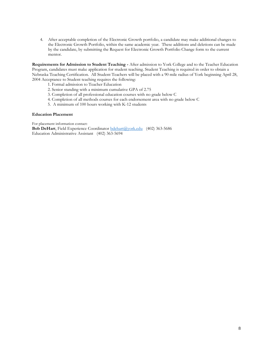4. After acceptable completion of the Electronic Growth portfolio, a candidate may make additional changes to the Electronic Growth Portfolio, within the same academic year. These additions and deletions can be made by the candidate, by submitting the Request for Electronic Growth Portfolio Change form to the current mentor.

**Requirements for Admission to Student Teaching -** After admission to York College and to the Teacher Education Program, candidates must make application for student teaching. Student Teaching is required in order to obtain a Nebraska Teaching Certification. All Student Teachers will be placed with a 90 mile radius of York beginning April 28, 2004 Acceptance to Student teaching requires the following:

- 1. Formal admission to Teacher Education
- 2. Senior standing with a minimum cumulative GPA of 2.75
- 3. Completion of all professional education courses with no grade below C
- 4. Completion of all methods courses for each endorsement area with no grade below C
- 5. A minimum of 100 hours working with K-12 students

#### **Education Placement**

For placement information contact: **Bob DeHart**, Field Experience Coordinator [bdehart@york.edu](mailto:bdehart@york.edu) (402) 363-5686 Education Administrative Assistant (402) 363-5694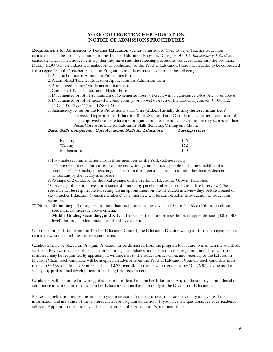### **YORK COLLEGE TEACHER EDUCATION NOTICE OF ADMISSIONS PROCEDURES**

**Requirements for Admission to Teacher Education -** After admission to York College, Teacher Education candidates must be formally admitted to the Teacher Education Program. During EDU 103, *Introduction to Education*, candidates must sign a notice verifying that they have read the screening procedures for acceptance into the program. During EDU 103, candidates will make formal application to the Teacher Education Program. In order to be considered for acceptance to the Teacher Education Program. Candidates must have on file the following:

- 1. A signed notice of Admission Procedures form
- 2. A completed Teacher Education Application for Admission form
- 3. A notarized Felony/Misdemeanor Statement
- 4. Completed Teacher Education Health Form
- 5. Documented proof of a minimum of 15 semester hours of credit with a cumulative GPA of 2.75 or above
- 6. Documented proof of successful completion (C or above) of **each** of the following courses: COM 113, EDU 103, ENG 113 and ENG 123
- 7. Satisfactory scores on the Pre-Professional Skills Test (**Taken Initially during the Freshman Year**)

Nebraska Department of Education Rule 20 states that NO student may be permitted to enroll in an approved teacher education program until he/she has achieved satisfactory scores on their Praxis Core Academic for Educators Skills (Reading, Writing and Math).

| <i>Basic Skills Competency Core Academic Skills for Educators:</i> | <b>Passing scores</b> |
|--------------------------------------------------------------------|-----------------------|
|                                                                    |                       |
| Reading                                                            | 156                   |
| Writing                                                            | 162                   |
| Mathematics                                                        | 150                   |

8. Favorable recommendations from three members of the York College faculty

(These recommendations assess reading and writing competencies, people skills, the suitability of a candidate's personality to teaching, his/her moral and personal standards, and other factors deemed important by the faculty members.)

9. Average of 2 or above for the total average of the Freshman Electronic Growth Portfolios

10. Average of 2.0 or above, and a successful rating by panel members, on the Candidate Interview (The student shall be responsible for setting up an appointment on the scheduled interview days before a panel of two Teacher Education Council members.) The interview will be completed in Introduction to Education semester.

\*\*\*Note: **Elementary** – To register for more than six hours of upper division (300 or 400 level) Education classes, a student must meet the above criteria.

**Middle Grades, Secondary, and K-12** – To register for more than six hours of upper division (300 or 400 level) classes, a student must meet the above criteria.

Upon recommendation from the Teacher Education Council, the Education Division will grant formal acceptance to a candidate who meets all the above requirements.

Candidates may be placed on Program Probation or be dismissed from the program for failure to maintain the standards set forth. Reviews may take place at any time during a candidate's participation in the program. Candidates who are dismissed may be readmitted by appealing in writing, first to the Education Division, and secondly to the Education Division Chair. Each candidate will be assigned an advisor from the Teacher Education Council. Each candidate must maintain GPAs of at least 2.00 in English, and **2.75 overall**. No course with a grade below "C" (2.00) may be used to satisfy any professional development or teaching field requirement.

Candidates will be notified in writing of admission or denial to Teacher Education. Any candidate may appeal denial of admittance in writing, first to the Teacher Education Council and secondly to the Division of Education.

Please sign below and return this notice to your instructor. Your signature just assures us that you have read the information and are aware of these prerequisites for program admission. If you have any questions, see your academic advisor. Application forms are available at any time in the Education Department office.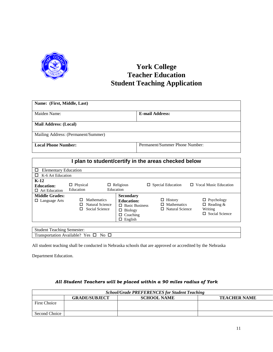

# **York College Teacher Education Student Teaching Application**

| Name: (First, Middle, Last)         |                                |
|-------------------------------------|--------------------------------|
| Maiden Name:                        | <b>E-mail Address:</b>         |
| <b>Mail Address: (Local)</b>        |                                |
| Mailing Address: (Permanent/Summer) |                                |
| <b>Local Phone Number:</b>          | Permanent/Summer Phone Number: |

|                                                     |                                                              |                                                                                                                    | I plan to student/certify in the areas checked below    |                                                                           |
|-----------------------------------------------------|--------------------------------------------------------------|--------------------------------------------------------------------------------------------------------------------|---------------------------------------------------------|---------------------------------------------------------------------------|
| <b>Elementary Education</b><br>□                    |                                                              |                                                                                                                    |                                                         |                                                                           |
| K-6 Art Education                                   |                                                              |                                                                                                                    |                                                         |                                                                           |
| $K-12$<br><b>Education:</b><br>$\Box$ Art Education | $\Box$ Physical<br>Education                                 | $\Box$ Religious<br>Education                                                                                      | $\Box$ Special Education<br>П.                          | <b>Vocal Music Education</b>                                              |
| <b>Middle Grades:</b><br>Language Arts<br>□         | <b>Mathematics</b><br>Natural Science<br>Social Science<br>П | <b>Secondary</b><br><b>Education:</b><br><b>Basic Business</b><br>П.<br><b>Biology</b><br>□<br>Coaching<br>English | History<br><b>Mathematics</b><br><b>Natural Science</b> | $\Box$ Psychology<br>$\Box$ Reading &<br>Writing<br>$\Box$ Social Science |
| <b>Student Teaching Semester:</b>                   |                                                              |                                                                                                                    |                                                         |                                                                           |
|                                                     | Transportation Available? Yes $\square$ No $\square$         |                                                                                                                    |                                                         |                                                                           |

All student teaching shall be conducted in Nebraska schools that are approved or accredited by the Nebraska

Department Education.

|                     | <b>School/Grade PREFERENCES for Student Teaching</b> |                    |                     |  |  |  |
|---------------------|------------------------------------------------------|--------------------|---------------------|--|--|--|
|                     | <b>GRADE/SUBJECT</b>                                 | <b>SCHOOL NAME</b> | <b>TEACHER NAME</b> |  |  |  |
| <b>First Choice</b> |                                                      |                    |                     |  |  |  |
| Second Choice       |                                                      |                    |                     |  |  |  |

## *All Student Teachers will be placed within a 90 miles radius of York*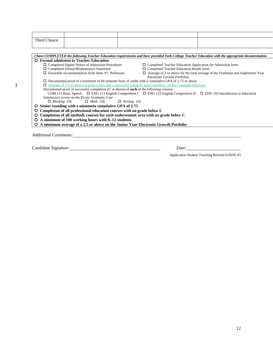| Third Choice                                                                                                  |                                                                                                                                                    |  |  |  |  |  |
|---------------------------------------------------------------------------------------------------------------|----------------------------------------------------------------------------------------------------------------------------------------------------|--|--|--|--|--|
|                                                                                                               |                                                                                                                                                    |  |  |  |  |  |
|                                                                                                               |                                                                                                                                                    |  |  |  |  |  |
|                                                                                                               | I have COMPLETED the following Teacher Education requirements and have provided York College Teacher Education with the appropriate documentation. |  |  |  |  |  |
| <b>Formal admission to Teacher Education</b>                                                                  |                                                                                                                                                    |  |  |  |  |  |
| $\Box$ Completed Signed Notice of Admission Procedures                                                        | $\Box$ Completed Teacher Education Application for Admission form                                                                                  |  |  |  |  |  |
| $\Box$ Completed Felony/Misdemeanor Statement                                                                 | $\Box$ Completed Teacher Education Health form                                                                                                     |  |  |  |  |  |
| $\Box$ Favorable recommendation from three YC Professors                                                      | $\Box$ Average of 2 or above for the total average of the Freshman and Sophomore Year                                                              |  |  |  |  |  |
|                                                                                                               | Electronic Growth Portfolios                                                                                                                       |  |  |  |  |  |
| $\Box$ Documented proof of a minimum of 60 semester hour of credit with a cumulative GPA of 2.75 or above     |                                                                                                                                                    |  |  |  |  |  |
| Average of 2.0 or above (4-point scale), and a successful rating by panel members, on the Candidate Interview |                                                                                                                                                    |  |  |  |  |  |
| Documented proof of successful completion (C or above) of <b>each</b> of the following courses:               |                                                                                                                                                    |  |  |  |  |  |
|                                                                                                               | COM 113 Basic Speech $\Box$ ENG 113 English Composition I $\Box$ ENG 123 English Composition II $\Box$ EDU 103 Introduction to Education           |  |  |  |  |  |
| Satisfactory scores on the Praxis Academic Core                                                               |                                                                                                                                                    |  |  |  |  |  |
| $\Box$ Math 150 $\Box$ Writing 162<br>$\Box$ Reading 156                                                      |                                                                                                                                                    |  |  |  |  |  |
| Senior standing with a minimum cumulative GPA of 2.75                                                         |                                                                                                                                                    |  |  |  |  |  |
| Completion of all professional education courses with no grade below C                                        |                                                                                                                                                    |  |  |  |  |  |
| Completion of all methods courses for each endorsement area with no grade below C<br>O                        |                                                                                                                                                    |  |  |  |  |  |
| A minimum of 100 working hours with K-12 students                                                             |                                                                                                                                                    |  |  |  |  |  |
| A minimum average of a 2.5 or above on the Junior Year Electronic Growth Portfolio<br>O                       |                                                                                                                                                    |  |  |  |  |  |
|                                                                                                               |                                                                                                                                                    |  |  |  |  |  |
|                                                                                                               |                                                                                                                                                    |  |  |  |  |  |
| <b>Additional Comments:</b>                                                                                   |                                                                                                                                                    |  |  |  |  |  |
|                                                                                                               |                                                                                                                                                    |  |  |  |  |  |

Candidate Signature: Date: Date:

 $\mathbf I$ 

Application Student Teaching Revised 6/20/05 #3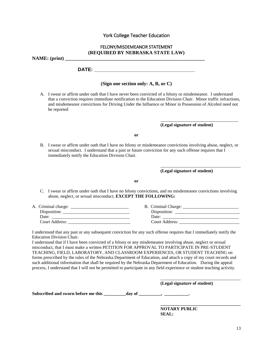## York College Teacher Education

### FELONY/MISDEMEANOR STATEMENT **(REQUIRED BY NEBRASKA STATE LAW)**

**NAME: (print) \_\_\_\_\_\_\_\_\_\_\_\_\_\_\_\_\_\_\_\_\_\_\_\_\_\_\_\_\_\_\_\_\_\_\_\_\_\_\_\_\_\_\_\_\_\_\_\_\_\_\_\_\_\_\_\_\_**

**DATE: \_\_\_\_\_\_\_\_\_\_\_\_\_\_\_\_\_\_\_\_\_\_\_\_\_\_\_\_\_\_\_\_\_\_\_\_\_**

## **(Sign one section only: A, B, or C)**

A. I swear or affirm under oath that I have never been convicted of a felony or misdemeanor. I understand that a conviction requires immediate notification to the Education Division Chair. Minor traffic infractions, and misdemeanor convictions for Driving Under the Influence or Minor in Possession of Alcohol need not be reported

**(Legal signature of student)**

\_\_\_\_\_\_\_\_\_\_\_\_\_\_\_\_\_\_\_\_\_\_\_\_\_\_\_\_\_\_\_\_\_\_\_

\_\_\_\_\_\_\_\_\_\_\_\_\_\_\_\_\_\_\_\_\_\_\_\_\_\_\_\_\_\_\_\_\_\_\_\_

**or**

B. I swear or affirm under oath that I have no felony or misdemeanor convictions involving abuse, neglect, or sexual misconduct. I understand that a past or future conviction for any such offense requires that I immediately notify the Education Division Chair.

**(Legal signature of student)**

**or**

C. I swear or affirm under oath that I have no felony convictions, and no misdemeanor convictions involving abuse, neglect, or sexual misconduct, **EXCEPT THE FOLLOWING:**

| A. Criminal charge: | B. Criminal Charge: |
|---------------------|---------------------|
| Disposition:        | Disposition:        |
| Date:               | Date:               |
| Court Address:      | Court Address:      |

I understand that any past or any subsequent conviction for any such offense requires that I immediately notify the Education Division Chair.

I understand that if I have been convicted of a felony or any misdemeanor involving abuse, neglect or sexual misconduct, that I must make a written PETITION FOR APPROVAL TO PARTICIPATE IN PRE-STUDENT TEACHING, FIELD, LABORATORY, AND CLASSROOM EXPERIENCES, OR STUDENT TEACHING on forms prescribed by the rules of the Nebraska Department of Education, and attach a copy of my court records and such additional information that shall be required by the Nebraska Department of Education. During the appeal process, I understand that I will not be permitted to participate in any field experience or student teaching activity.

**(Legal signature of student)**

\_\_\_\_\_\_\_\_\_\_\_\_\_\_\_\_\_\_\_\_\_\_\_\_\_\_\_\_\_\_\_\_\_\_\_\_

**\_\_\_\_\_\_\_\_\_\_\_\_\_\_\_\_\_\_\_\_\_\_\_\_\_\_\_\_\_\_\_\_\_\_\_\_**

Subscribed and sworn before me this \_\_\_\_\_\_\_\_\_\_day of \_\_\_\_\_\_\_\_, \_\_\_\_\_\_\_\_\_\_\_.

**NOTARY PUBLIC SEAL:**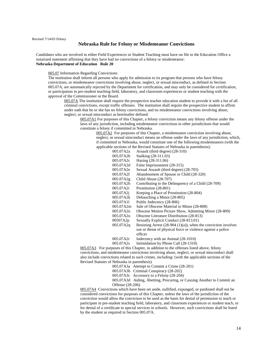#### **Nebraska Rule for Felony or Misdemeanor Convictions**

Candidates who are involved in either Field Experiences or Student Teaching must have on file in the Education Office a notarized statement affirming that they have had no convictions of a felony or misdemeanor: **Nebraska Department of Education Rule 20**

005.07 Information Regarding Convictions

The institution shall inform all persons who apply for admission to its program that persons who have felony convictions, or misdemeanor convictions involving abuse, neglect, or sexual misconduct, as defined in Section 005.07A, are automatically rejected by the Department for certification, and may only be considered for certification, or participation in pre-student teaching field, laboratory, and classroom experiences or student teaching with the approval of the Commissioner or the Board.

005.07A The institution shall require the prospective teacher education student to provide it with a list of all criminal convictions, except traffic offenses. The institution shall require the prospective student to affirm under oath that he or she has no felony convictions, and no misdemeanor convictions involving abuse, neglect, or sexual misconduct as hereinafter defined:

005.07A1 For purposes of this Chapter, a felony conviction means any felony offense under the laws of any jurisdiction, including misdemeanor convictions in other jurisdictions that would constitute a felony if committed in Nebraska.

005.07A2 For purposes of this Chapter, a misdemeanor conviction involving abuse, neglect, or sexual misconduct means an offense under the laws of any jurisdiction, which, if committed in Nebraska, would constitute one of the following misdemeanors (with the applicable sections of the Revised Statutes of Nebraska in parenthesis):

| 005.07A2a | Assault (third degree) (28-310)                                   |
|-----------|-------------------------------------------------------------------|
| 005.07A2b | Stalking (28-311.03)                                              |
| 005.07A2c | Hazing (28-311.06)                                                |
| 005.07A2d | False Imprisonment (28-315)                                       |
| 005.07A2e | Sexual Assault (third degree) (28-705)                            |
| 005.07A2f | Abandonment of Spouse or Child (28-320)                           |
| 005.07A2g | Child Abuse (28-707)                                              |
| 005.07A2h | Contributing to the Delinquency of a Child (28-709)               |
| 005.07A2i | Prostitution (28-801)                                             |
| 005.07A2j | Keeping a Place of Prostitution (28-804)                          |
| 005.07A2k | Debauching a Minor (28-805)                                       |
| 005.07A11 | Public Indecency (28-806)                                         |
| 005.07A2m | Sale of Obscene Material to Minor (28-808)                        |
| 005.07A2n | Obscene Motion Picture Show, Admitting Minor (28-809)             |
| 005.07A2o | <b>Obscene Literature Distribution (28-813)</b>                   |
| 00507A2p  | Sexually Explicit Conduct (28-813.01)                             |
| 005.07A2q | Resisting Arrest $(28-904 (1)(a))$ , when the conviction involves |
|           | use or threat of physical force or violence against a police      |
|           | officer                                                           |
| 005.07A2r | Indecency with an Animal (28-1010)                                |
| 005.07A2s | Intimidation by Phone Call (28-1310)                              |

005.07A3 For purposes of this Chapter, in addition to the offenses listed above, felony convictions, and misdemeanor convictions involving abuse, neglect, or sexual misconduct shall also include convictions related to such crimes, including: (with the applicable sections of the Revised Statutes of Nebraska in parenthesis)

005.07A3a Attempt to Commit a Crime (28-201)

005.07A3b Criminal Conspiracy (28-202)

005.07A3c Accessory to a Felony (28-204)

005.07A3d Aiding, Abetting, Procuring, or Causing Another to Commit an Offense (28-206)

005.07A4 Convictions which have been set aside, nullified, expunged, or pardoned shall not be considered convictions for purposes of this Chapter, unless the laws of the jurisdiction of the conviction would allow the conviction to be used as the basis for denial of permission to teach or participate in pre-student teaching field, laboratory, and classroom experiences or student teach, or for denial of a certificate to special services in schools. However, such convictions shall be listed by the student as required in Section 005.07A.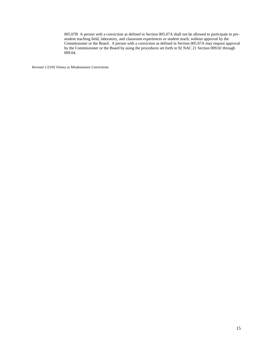005.07B A person with a conviction as defined in Section 005.07A shall not be allowed to participate in prestudent teaching field, laboratory, and classroom experiences or student teach, without approval by the Commissioner or the Board. A person with a conviction as defined in Section 005.07A may request approval by the Commissioner or the Board by using the procedures set forth in 92 NAC 21 Section 009.02 through 009.04.

Revised 1/23/02 Felony or Misdemeanor Convictions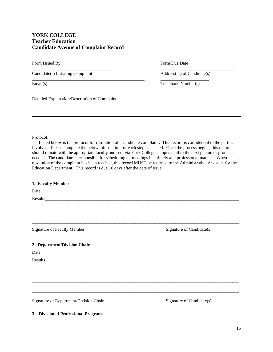# **YORK COLLEGE Teacher Education Candidate Avenue of Complaint Record**

Form Issued By Form Due Date

Candidate(s) Initiating Complaint Address(es) of Candidate(s)

Email(s) Telephone Number(s)

 $\mathcal{L}_\text{max}$  and  $\mathcal{L}_\text{max}$  are the set of the set of the set of the set of the set of the set of the set of the set of the set of the set of the set of the set of the set of the set of the set of the set of the set o

Detailed Explanation/Description of Complaint:

Protocol:

Listed below is the protocol for resolution of a candidate complaint. This record is confidential to the parties involved. Please complete the below information for each step as needed. Once the process begins, this record should remain with the appropriate faculty and sent via York College campus mail to the next person or group as needed. The candidate is responsible for scheduling all meetings in a timely and professional manner. When resolution of the complaint has been reached, this record MUST be returned to the Administrative Assistant for the Education Department. This record is due 10 days after the date of issue.

| 1. Faculty Member                      |                           |
|----------------------------------------|---------------------------|
|                                        |                           |
|                                        |                           |
|                                        |                           |
|                                        |                           |
| <b>Signature of Faculty Member</b>     | Signature of Candidate(s) |
| 2. Department/Division Chair           |                           |
|                                        |                           |
|                                        |                           |
|                                        |                           |
|                                        |                           |
|                                        |                           |
| Signature of Department/Division Chair | Signature of Candidate(s) |

**3. Division of Professional Programs**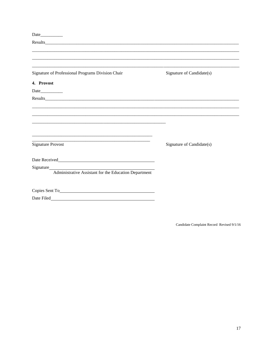| Date and the same state of the state of the state of the state of the state of the state of the state of the state of the state of the state of the state of the state of the state of the state of the state of the state of |                           |
|-------------------------------------------------------------------------------------------------------------------------------------------------------------------------------------------------------------------------------|---------------------------|
|                                                                                                                                                                                                                               |                           |
|                                                                                                                                                                                                                               |                           |
|                                                                                                                                                                                                                               |                           |
| Signature of Professional Programs Division Chair                                                                                                                                                                             | Signature of Candidate(s) |
| 4. Provost                                                                                                                                                                                                                    |                           |
|                                                                                                                                                                                                                               |                           |
|                                                                                                                                                                                                                               |                           |
|                                                                                                                                                                                                                               |                           |
|                                                                                                                                                                                                                               |                           |
|                                                                                                                                                                                                                               |                           |
|                                                                                                                                                                                                                               |                           |
|                                                                                                                                                                                                                               |                           |
| and the state of the state of the state of the state of the state of the state of the state of the state of the<br><b>Signature Provost</b>                                                                                   | Signature of Candidate(s) |
|                                                                                                                                                                                                                               |                           |
|                                                                                                                                                                                                                               |                           |
|                                                                                                                                                                                                                               |                           |
| Signature<br>Administrative Assistant for the Education Department                                                                                                                                                            |                           |
|                                                                                                                                                                                                                               |                           |
|                                                                                                                                                                                                                               |                           |
| Date Filed                                                                                                                                                                                                                    |                           |

Candidate Complaint Record Revised 9/1/16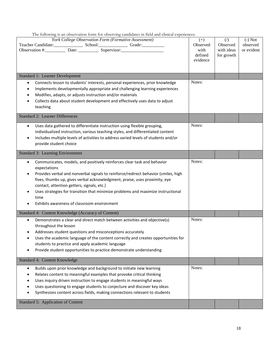The following is an observation form for observing candidates in field and clinical experiences.

| York College Observation Form (Formative Assessment)<br>Teacher Candidate: School: Grade: Grade:<br><b>Standard 1: Learner Development</b><br>Connects lesson to students' interests, personal experiences, prior knowledge<br>$\bullet$<br>Implements developmentally appropriate and challenging learning experiences<br>$\bullet$<br>Modifies, adapts, or adjusts instruction and/or materials<br>$\bullet$<br>Collects data about student development and effectively uses data to adjust<br>$\bullet$<br>teaching | $(+)$<br>Observed<br>with<br>defined<br>evidence<br>Notes: | (<br>Observed<br>with ideas<br>for growth | $(-)$ Not<br>observed<br>or evident |
|------------------------------------------------------------------------------------------------------------------------------------------------------------------------------------------------------------------------------------------------------------------------------------------------------------------------------------------------------------------------------------------------------------------------------------------------------------------------------------------------------------------------|------------------------------------------------------------|-------------------------------------------|-------------------------------------|
| <b>Standard 2: Learner Differences</b>                                                                                                                                                                                                                                                                                                                                                                                                                                                                                 |                                                            |                                           |                                     |
| Uses data gathered to differentiate instruction using flexible grouping,<br>$\bullet$<br>individualized instruction, various teaching styles, and differentiated content<br>Includes multiple levels of activities to address varied levels of students and/or<br>$\bullet$<br>provide student choice                                                                                                                                                                                                                  | Notes:                                                     |                                           |                                     |
| <b>Standard 3: Learning Environment</b>                                                                                                                                                                                                                                                                                                                                                                                                                                                                                |                                                            |                                           |                                     |
| Communicates, models, and positively reinforces clear task and behavior<br>$\bullet$<br>expectations<br>Provides verbal and nonverbal signals to reinforce/redirect behavior (smiles, high<br>$\bullet$<br>fives, thumbs up, gives verbal acknowledgment, praise, uses proximity, eye<br>contact, attention getters, signals, etc.)<br>Uses strategies for transition that minimize problems and maximize instructional<br>time<br>Exhibits awareness of classroom environment                                         | Notes:                                                     |                                           |                                     |
| Standard 4: Content Knowledge (Accuracy of Content)                                                                                                                                                                                                                                                                                                                                                                                                                                                                    |                                                            |                                           |                                     |
| Demonstrates a clear and direct match between activities and objective(s)<br>$\bullet$<br>throughout the lesson<br>Addresses student questions and misconceptions accurately<br>$\bullet$<br>Uses the academic language of the content correctly and creates opportunities for<br>$\bullet$<br>students to practice and apply academic language<br>Provide student opportunities to practice demonstrate understanding                                                                                                 | Notes:                                                     |                                           |                                     |
| Standard 4: Content Knowledge                                                                                                                                                                                                                                                                                                                                                                                                                                                                                          |                                                            |                                           |                                     |
| Builds upon prior knowledge and background to initiate new learning<br>$\bullet$<br>Relates content to meaningful examples that provoke critical thinking<br>Uses inquiry driven instruction to engage students in meaningful ways<br>Uses questioning to engage students to conjecture and discover key ideas<br>Synthesizes content across fields, making connections relevant to students<br>Standard 5: Application of Content                                                                                     | Notes:                                                     |                                           |                                     |
|                                                                                                                                                                                                                                                                                                                                                                                                                                                                                                                        |                                                            |                                           |                                     |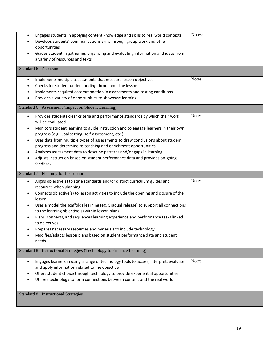| Engages students in applying content knowledge and skills to real world contexts<br>$\bullet$<br>Develops students' communications skills through group work and other<br>$\bullet$<br>opportunities<br>Guides student in gathering, organizing and evaluating information and ideas from<br>a variety of resources and texts                                                                                                                                                                                                                                                                                                                                    | Notes: |  |
|------------------------------------------------------------------------------------------------------------------------------------------------------------------------------------------------------------------------------------------------------------------------------------------------------------------------------------------------------------------------------------------------------------------------------------------------------------------------------------------------------------------------------------------------------------------------------------------------------------------------------------------------------------------|--------|--|
| Standard 6: Assessment                                                                                                                                                                                                                                                                                                                                                                                                                                                                                                                                                                                                                                           |        |  |
| Implements multiple assessments that measure lesson objectives<br>$\bullet$<br>Checks for student understanding throughout the lesson<br>٠<br>Implements required accommodation in assessments and testing conditions<br>٠<br>Provides a variety of opportunities to showcase learning                                                                                                                                                                                                                                                                                                                                                                           | Notes: |  |
| Standard 6: Assessment (Impact on Student Learning)                                                                                                                                                                                                                                                                                                                                                                                                                                                                                                                                                                                                              |        |  |
| Provides students clear criteria and performance standards by which their work<br>$\bullet$<br>will be evaluated<br>Monitors student learning to guide instruction and to engage learners in their own<br>$\bullet$<br>progress (e.g. Goal setting, self-assessment, etc.)<br>Uses data from multiple types of assessments to draw conclusions about student<br>$\bullet$<br>progress and determine re-teaching and enrichment opportunities<br>Analyzes assessment data to describe patterns and/or gaps in learning<br>$\bullet$<br>Adjusts instruction based on student performance data and provides on-going<br>$\bullet$<br>feedback                       | Notes: |  |
|                                                                                                                                                                                                                                                                                                                                                                                                                                                                                                                                                                                                                                                                  |        |  |
| Standard 7: Planning for Instruction                                                                                                                                                                                                                                                                                                                                                                                                                                                                                                                                                                                                                             |        |  |
| Aligns objective(s) to state standards and/or district curriculum guides and<br>$\bullet$<br>resources when planning<br>Connects objective(s) to lesson activities to include the opening and closure of the<br>$\bullet$<br>lesson<br>Uses a model the scaffolds learning (eg. Gradual release) to support all connections<br>to the learning objective(s) within lesson plans<br>Plans, connects, and sequences learning experience and performance tasks linked<br>$\bullet$<br>to objectives<br>Prepares necessary resources and materials to include technology<br>Modifies/adapts lesson plans based on student performance data and student<br>6<br>needs | Notes: |  |
| Standard 8: Instructional Strategies (Technology to Enhance Learning)                                                                                                                                                                                                                                                                                                                                                                                                                                                                                                                                                                                            |        |  |
| Engages learners in using a range of technology tools to access, interpret, evaluate<br>$\bullet$<br>and apply information related to the objective<br>Offers student choice through technology to provide experiential opportunities<br>$\bullet$<br>Utilizes technology to form connections between content and the real world                                                                                                                                                                                                                                                                                                                                 | Notes: |  |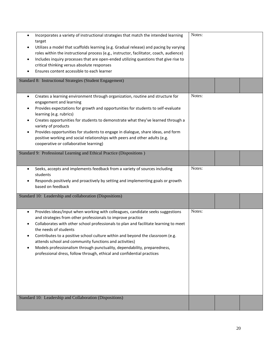| Incorporates a variety of instructional strategies that match the intended learning<br>$\bullet$<br>target<br>Utilizes a model that scaffolds learning (e.g. Gradual release) and pacing by varying<br>$\bullet$<br>roles within the instructional process (e.g., instructor, facilitator, coach, audience)<br>Includes inquiry processes that are open-ended utilizing questions that give rise to<br>$\bullet$<br>critical thinking versus absolute responses<br>Ensures content accessible to each learner<br>$\bullet$                                                                              | Notes: |  |
|---------------------------------------------------------------------------------------------------------------------------------------------------------------------------------------------------------------------------------------------------------------------------------------------------------------------------------------------------------------------------------------------------------------------------------------------------------------------------------------------------------------------------------------------------------------------------------------------------------|--------|--|
| Standard 8: Instructional Strategies (Student Engagement)                                                                                                                                                                                                                                                                                                                                                                                                                                                                                                                                               |        |  |
| Creates a learning environment through organization, routine and structure for<br>$\bullet$<br>engagement and learning<br>Provides expectations for growth and opportunities for students to self-evaluate<br>$\bullet$<br>learning (e.g. rubrics)<br>Creates opportunities for students to demonstrate what they've learned through a<br>$\bullet$<br>variety of products<br>Provides opportunities for students to engage in dialogue, share ideas, and form<br>$\bullet$<br>positive working and social relationships with peers and other adults (e.g.<br>cooperative or collaborative learning)    | Notes: |  |
| Standard 9: Professional Learning and Ethical Practice (Dispositions)                                                                                                                                                                                                                                                                                                                                                                                                                                                                                                                                   |        |  |
| Seeks, accepts and implements feedback from a variety of sources including<br>$\bullet$<br>students<br>Responds positively and proactively by setting and implementing goals or growth<br>based on feedback                                                                                                                                                                                                                                                                                                                                                                                             | Notes: |  |
| Standard 10: Leadership and collaboration (Dispositions)                                                                                                                                                                                                                                                                                                                                                                                                                                                                                                                                                |        |  |
| Provides ideas/input when working with colleagues, candidate seeks suggestions<br>$\bullet$<br>and strategies from other professionals to improve practice<br>Collaborates with other school professionals to plan and facilitate learning to meet<br>the needs of students<br>Contributes to a positive school culture within and beyond the classroom (e.g.<br>$\bullet$<br>attends school and community functions and activities)<br>Models professionalism through punctuality, dependability, preparedness,<br>$\bullet$<br>professional dress, follow through, ethical and confidential practices | Notes: |  |
| Standard 10: Leadership and Collaboration (Dispositions)                                                                                                                                                                                                                                                                                                                                                                                                                                                                                                                                                |        |  |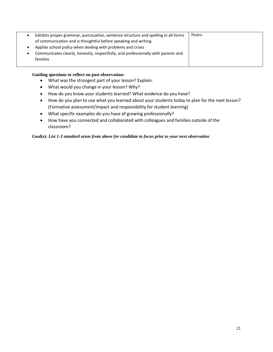| Exhibits proper grammar, punctuation, sentence structure and spelling in all forms | Notes: |
|------------------------------------------------------------------------------------|--------|
| of communication and is thoughtful before speaking and writing                     |        |
| Applies school policy when dealing with problems and crises                        |        |
| Communicates clearly, honestly, respectfully, and professionally with parents and  |        |
| families                                                                           |        |
|                                                                                    |        |

### **Guiding questions to reflect on post observation:**

- What was the strongest part of your lesson? Explain.
- What would you change in your lesson? Why?
- How do you know your students learned? What evidence do you have?
- How do you plan to use what you learned about your students today to plan for the next lesson? (Formative assessment/impact and responsibility for student learning)
- What specific examples do you have of growing professionally?
- How have you connected and collaborated with colleagues and families outside of the classroom?

**Goal(s):** *List 1-3 standard areas from above for candidate to focus prior to your next observation*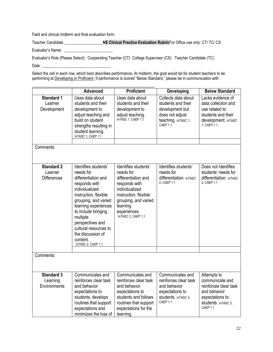Field and clinical midterm and final evaluation form:

Teacher Candidate **\_\_\_\_\_\_\_\_\_\_\_\_\_\_\_\_\_\_\_NE Clinical Practice Evaluation Rubric**For Office use only: CT/ TC/ CS

Evaluator's Name:

Evaluator's Role (Please Select): Cooperating Teacher (CT) College Supervisor (CS) Teacher Candidate (TC) Date:

Select the cell in each row, which best describes performance. At midterm, the goal would be for student teachers to be performing at Developing or Proficient. If performance is scored "Below Standard," please be in communication with

|                                                    | <b>Advanced</b>                                                                                                                                                                                                                                                                                             | <b>Proficient</b>                                                                                                                                                                              | <b>Developing</b>                                                                                                   | <b>Below Standard</b>                                                                                                         |
|----------------------------------------------------|-------------------------------------------------------------------------------------------------------------------------------------------------------------------------------------------------------------------------------------------------------------------------------------------------------------|------------------------------------------------------------------------------------------------------------------------------------------------------------------------------------------------|---------------------------------------------------------------------------------------------------------------------|-------------------------------------------------------------------------------------------------------------------------------|
| <b>Standard 1</b><br>Learner<br>Development        | Uses data about<br>students and their<br>development to<br>adjust teaching and<br>build on student<br>strengths resulting in<br>student learning.<br>InTASC 1; CAEP 1.1                                                                                                                                     | Uses data about<br>students and their<br>development to<br>adjust teaching.<br>InTASC 1; CAEP 1.1                                                                                              | Collects data about<br>students and their<br>development but<br>does not adjust<br>teaching. In TASC 1;<br>CAEP 1.1 | Lacks evidence of<br>data collection and<br>use related to<br>students and their<br>development. InTASC<br>1: CAEP 1.1        |
| Comments:                                          |                                                                                                                                                                                                                                                                                                             |                                                                                                                                                                                                |                                                                                                                     |                                                                                                                               |
|                                                    |                                                                                                                                                                                                                                                                                                             |                                                                                                                                                                                                |                                                                                                                     |                                                                                                                               |
| <b>Standard 2</b><br>Learner<br><b>Differences</b> | Identifies students'<br>needs for<br>differentiation and<br>responds with<br>individualized<br>instruction, flexible<br>grouping, and varied<br>learning experiences<br>to include bringing<br>multiple<br>perspectives and<br>cultural resources to<br>the discussion of<br>content.<br>InTASC 2; CAEP 1.1 | Identifies students'<br>needs for<br>differentiation and<br>responds with<br>individualized<br>instruction, flexible<br>grouping, and varied<br>learning<br>experiences.<br>InTASC 2; CAEP 1.1 | Identifies students'<br>needs for<br>differentiation. InTASC<br>2; CAEP 1.1                                         | Does not Identifies<br>students' needs for<br>differentiation. InTASC<br>2; CAEP 1.1                                          |
| Comments:                                          |                                                                                                                                                                                                                                                                                                             |                                                                                                                                                                                                |                                                                                                                     |                                                                                                                               |
|                                                    |                                                                                                                                                                                                                                                                                                             |                                                                                                                                                                                                |                                                                                                                     |                                                                                                                               |
| <b>Standard 3</b><br>Learning<br>Environments      | Communicates and<br>reinforces clear task<br>and behavior<br>expectations to<br>students, develops<br>routines that support<br>expectations and<br>minimizes the loss of                                                                                                                                    | Communicates and<br>reinforces clear task<br>and behavior<br>expectations to<br>students and follows<br>routines that support<br>expectations for the<br>learning                              | Communicates and<br>reinforces clear task<br>and behavior<br>expectations to<br>students. InTASC 3;<br>CAEP 1.1     | Attempts to<br>communicate and<br>reinforces clear task<br>and behavior<br>expectations to<br>students. InTASC 3;<br>CAEP 1.1 |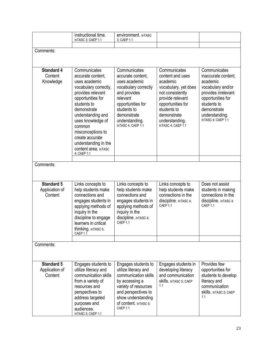|                                                | instructional time.<br>InTASC 3; CAEP 1.1                                                                                                                                                                                                                                                                      | environment. InTASC<br>3; CAEP 1.1                                                                                                                                                                |                                                                                                                                                                                                         |                                                                                                                                                                                        |
|------------------------------------------------|----------------------------------------------------------------------------------------------------------------------------------------------------------------------------------------------------------------------------------------------------------------------------------------------------------------|---------------------------------------------------------------------------------------------------------------------------------------------------------------------------------------------------|---------------------------------------------------------------------------------------------------------------------------------------------------------------------------------------------------------|----------------------------------------------------------------------------------------------------------------------------------------------------------------------------------------|
|                                                |                                                                                                                                                                                                                                                                                                                |                                                                                                                                                                                                   |                                                                                                                                                                                                         |                                                                                                                                                                                        |
| Comments:                                      |                                                                                                                                                                                                                                                                                                                |                                                                                                                                                                                                   |                                                                                                                                                                                                         |                                                                                                                                                                                        |
|                                                |                                                                                                                                                                                                                                                                                                                |                                                                                                                                                                                                   |                                                                                                                                                                                                         |                                                                                                                                                                                        |
| <b>Standard 4</b><br>Content<br>Knowledge      | Communicates<br>accurate content,<br>uses academic<br>vocabulary correctly,<br>provides relevant<br>opportunities for<br>students to<br>demonstrate<br>understanding and<br>uses knowledge of<br>common<br>misconceptions to<br>create accurate<br>understanding in the<br>content area. InTASC<br>4; CAEP 1.1 | Communicates<br>accurate content,<br>uses academic<br>vocabulary correctly<br>and provides<br>relevant<br>opportunities for<br>students to<br>demonstrate<br>understanding.<br>InTASC 4; CAEP 1.1 | Communicates<br>content and uses<br>academic<br>vocabulary, yet does<br>not consistently<br>provide relevant<br>opportunities for<br>students to<br>demonstrate<br>understanding.<br>InTASC 4; CAEP 1.1 | Communicates<br>inaccurate content,<br>academic<br>vocabulary and/or<br>provides irrelevant<br>opportunities for<br>students to<br>demonstrate<br>understanding.<br>InTASC 4; CAEP 1.1 |
|                                                |                                                                                                                                                                                                                                                                                                                |                                                                                                                                                                                                   |                                                                                                                                                                                                         |                                                                                                                                                                                        |
| Comments:                                      |                                                                                                                                                                                                                                                                                                                |                                                                                                                                                                                                   |                                                                                                                                                                                                         |                                                                                                                                                                                        |
| <b>Standard 5</b><br>Application of<br>Content | Links concepts to<br>help students make<br>connections and<br>engages students in<br>applying methods of<br>inquiry in the<br>discipline to engage<br>learners in critical<br>thinking. In TASC 5;<br>CAEP 1.1                                                                                                 | Links concepts to<br>help students make<br>connections and<br>engages students in<br>applying methods of<br>inquiry in the<br>discipline. InTASC 4;<br>CAEP 1.1                                   | Links concepts to<br>help students make<br>connections in the<br>discipline. InTASC 4;<br>CAFP <sub>11</sub>                                                                                            | Does not assist<br>students in making<br>connections in the<br>discipline. InTASC 4;<br>CAEP 1.1                                                                                       |
|                                                |                                                                                                                                                                                                                                                                                                                |                                                                                                                                                                                                   |                                                                                                                                                                                                         |                                                                                                                                                                                        |
| Comments:                                      |                                                                                                                                                                                                                                                                                                                |                                                                                                                                                                                                   |                                                                                                                                                                                                         |                                                                                                                                                                                        |
| <b>Standard 5</b><br>Application of<br>Content | Engages students to<br>utilize literacy and<br>communication skills<br>from a variety of<br>resources and<br>perspectives to<br>address targeted<br>purposes and<br>audiences.<br>InTASC 5; CAEP 1.1                                                                                                           | Engages students to<br>utilize literacy and<br>communication skills<br>by accessing a<br>variety of resources<br>and perspectives to<br>show understanding<br>of content. In TASC 5;<br>CAEP 1.1  | Engages students in<br>developing literacy<br>and communication<br>Skills. InTASC 5; CAEP<br>1.1                                                                                                        | Provides few<br>opportunities for<br>students to develop<br>literacy and<br>communication<br>Skills. InTASC 5; CAEP<br>1.1                                                             |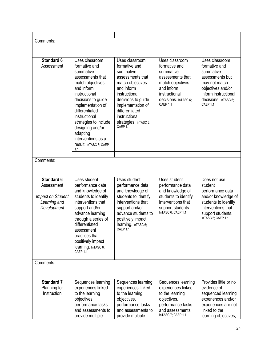| Comments:                |                                          |                                          |                                          |                                         |
|--------------------------|------------------------------------------|------------------------------------------|------------------------------------------|-----------------------------------------|
|                          |                                          |                                          |                                          |                                         |
|                          |                                          |                                          |                                          |                                         |
| <b>Standard 6</b>        | Uses classroom                           | Uses classroom                           | Uses classroom                           | Uses classroom                          |
| Assessment               | formative and<br>summative               | formative and<br>summative               | formative and<br>summative               | formative and<br>summative              |
|                          | assessments that                         | assessments that                         | assessments that                         | assessments but                         |
|                          | match objectives                         | match objectives                         | match objectives                         | may not match                           |
|                          | and inform                               | and inform                               | and inform                               | objectives and/or                       |
|                          | instructional                            | instructional                            | instructional                            | inform instructional                    |
|                          | decisions to guide                       | decisions to guide                       | decisions. In TASC 6;                    | decisions. InTASC 6;                    |
|                          | implementation of<br>differentiated      | implementation of<br>differentiated      | CAEP 1.1                                 | CAEP 1.1                                |
|                          | instructional                            | instructional                            |                                          |                                         |
|                          | strategies to include                    | strategies. In TASC 6;                   |                                          |                                         |
|                          | designing and/or                         | CAEP 1.1                                 |                                          |                                         |
|                          | adapting                                 |                                          |                                          |                                         |
|                          | interventions as a                       |                                          |                                          |                                         |
|                          | result. In TASC 6; CAEP<br>1.1           |                                          |                                          |                                         |
|                          |                                          |                                          |                                          |                                         |
| Comments:                |                                          |                                          |                                          |                                         |
|                          |                                          |                                          |                                          |                                         |
|                          |                                          |                                          |                                          |                                         |
| <b>Standard 6</b>        | Uses student                             | Uses student                             | Uses student                             | Does not use                            |
| Assessment               | performance data                         | performance data                         | performance data                         | student                                 |
| <b>Impact on Student</b> | and knowledge of<br>students to identify | and knowledge of<br>students to identify | and knowledge of<br>students to identify | performance data<br>and/or knowledge of |
| Learning and             | interventions that                       | interventions that                       | interventions that                       | students to identify                    |
| Development              | support and/or                           | support and/or                           | support students.                        | interventions that                      |
|                          | advance learning                         | advance students to                      | InTASC 6; CAEP 1.1                       | support students.                       |
|                          | through a series of                      | positively impact                        |                                          | InTASC 6, CAEP 1.1                      |
|                          | differentiated                           | learning. InTASC 6;<br>CAEP 1.1          |                                          |                                         |
|                          | assessment<br>practices that             |                                          |                                          |                                         |
|                          | positively impact                        |                                          |                                          |                                         |
|                          | learning. InTASC 6;                      |                                          |                                          |                                         |
|                          | CAEP 1.1                                 |                                          |                                          |                                         |
| Comments:                |                                          |                                          |                                          |                                         |
|                          |                                          |                                          |                                          |                                         |
|                          |                                          |                                          |                                          |                                         |
| <b>Standard 7</b>        | Sequences learning                       |                                          | Sequences learning                       | Provides little or no                   |
| Planning for             | experiences linked                       | Sequences learning<br>experiences linked | experiences linked                       | evidence of                             |
| Instruction              | to the learning                          | to the learning                          | to the learning                          | sequenced learning                      |
|                          | objectives,                              | objectives,                              | objectives,                              | experiences and/or                      |
|                          | performance tasks                        | performance tasks                        | performance tasks                        | experiences are not                     |
|                          | and assessments to                       | and assessments to                       | and assessments.                         | linked to the                           |
|                          | provide multiple                         | provide multiple                         | InTASC 7; CAEP 1.1                       | learning objectives,                    |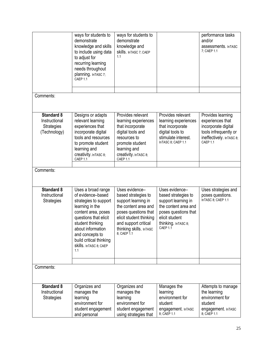|                                                                         | ways for students to<br>demonstrate<br>knowledge and skills<br>to include using data<br>to adjust for<br>recurring learning<br>needs throughout                                                                                                              | ways for students to<br>demonstrate<br>knowledge and<br>Skills. InTASC 7; CAEP<br>1.1                                                                                                                     |                                                                                                                                                                   | performance tasks<br>and/or<br>assessments. InTASC<br>7; CAEP 1.1                                                              |
|-------------------------------------------------------------------------|--------------------------------------------------------------------------------------------------------------------------------------------------------------------------------------------------------------------------------------------------------------|-----------------------------------------------------------------------------------------------------------------------------------------------------------------------------------------------------------|-------------------------------------------------------------------------------------------------------------------------------------------------------------------|--------------------------------------------------------------------------------------------------------------------------------|
|                                                                         | planning. InTASC 7;<br>CAEP 1.1                                                                                                                                                                                                                              |                                                                                                                                                                                                           |                                                                                                                                                                   |                                                                                                                                |
|                                                                         |                                                                                                                                                                                                                                                              |                                                                                                                                                                                                           |                                                                                                                                                                   |                                                                                                                                |
| Comments:                                                               |                                                                                                                                                                                                                                                              |                                                                                                                                                                                                           |                                                                                                                                                                   |                                                                                                                                |
| <b>Standard 8</b><br>Instructional<br><b>Strategies</b><br>(Technology) | Designs or adapts<br>relevant learning<br>experiences that<br>incorporate digital<br>tools and resources<br>to promote student<br>learning and<br>creativity. In TASC 8;<br>CAEP 1.1                                                                         | Provides relevant<br>learning experiences<br>that incorporate<br>digital tools and<br>resources to<br>promote student<br>learning and<br>creativity. In TASC 8;<br>CAEP 1.1                               | Provides relevant<br>learning experiences<br>that incorporate<br>digital tools to<br>stimulate interest.<br>InTASC 8; CAEP 1.1                                    | Provides learning<br>experiences that<br>incorporate digital<br>tools infrequently or<br>ineffectively. In TASC 8;<br>CAEP 1.1 |
|                                                                         |                                                                                                                                                                                                                                                              |                                                                                                                                                                                                           |                                                                                                                                                                   |                                                                                                                                |
| Comments:                                                               |                                                                                                                                                                                                                                                              |                                                                                                                                                                                                           |                                                                                                                                                                   |                                                                                                                                |
| <b>Standard 8</b><br>Instructional<br><b>Strategies</b>                 | Uses a broad range<br>of evidence-based<br>strategies to support<br>learning in the<br>content area, poses<br>questions that elicit<br>student thinking<br>about information<br>and concepts to<br>build critical thinking<br>Skills. In TASC 8; CAEP<br>1.1 | Uses evidence-<br>based strategies to<br>support learning in<br>the content area and<br>poses questions that<br>elicit student thinking<br>and support critical<br>thinking skills. InTASC<br>8; CAEP 1.1 | Uses evidence-<br>based strategies to<br>support learning in<br>the content area and<br>poses questions that<br>elicit student<br>thinking. InTASC 8;<br>CAEP 1.1 | Uses strategies and<br>poses questions.<br>InTASC 8; CAEP 1.1                                                                  |
| Comments:                                                               |                                                                                                                                                                                                                                                              |                                                                                                                                                                                                           |                                                                                                                                                                   |                                                                                                                                |
|                                                                         |                                                                                                                                                                                                                                                              |                                                                                                                                                                                                           |                                                                                                                                                                   |                                                                                                                                |
| <b>Standard 8</b><br>Instructional<br><b>Strategies</b>                 | Organizes and<br>manages the<br>learning<br>environment for<br>student engagement<br>and personal                                                                                                                                                            | Organizes and<br>manages the<br>learning<br>environment for<br>student engagement<br>using strategies that                                                                                                | Manages the<br>learning<br>environment for<br>student<br>engagement. InTASC<br>8; CAEP 1.1                                                                        | Attempts to manage<br>the learning<br>environment for<br>student<br>engagement. InTASC<br>8; CAEP 1.1                          |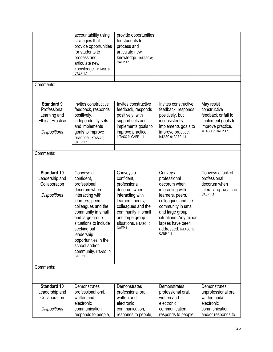|                                                                                                     | accountability using<br>strategies that<br>provide opportunities<br>for students to<br>process and<br>articulate new<br>knowledge. InTASC 8;<br>CAEP 1.1                                                                                                                                            | provide opportunities<br>for students to<br>process and<br>articulate new<br>knowledge. InTASC 8;<br>CAEP <sub>1.1</sub>                                                                             |                                                                                                                                                                                                                                   |                                                                                                                    |
|-----------------------------------------------------------------------------------------------------|-----------------------------------------------------------------------------------------------------------------------------------------------------------------------------------------------------------------------------------------------------------------------------------------------------|------------------------------------------------------------------------------------------------------------------------------------------------------------------------------------------------------|-----------------------------------------------------------------------------------------------------------------------------------------------------------------------------------------------------------------------------------|--------------------------------------------------------------------------------------------------------------------|
| Comments:                                                                                           |                                                                                                                                                                                                                                                                                                     |                                                                                                                                                                                                      |                                                                                                                                                                                                                                   |                                                                                                                    |
| <b>Standard 9</b><br>Professional<br>Learning and<br><b>Ethical Practice</b><br><b>Dispositions</b> | Invites constructive<br>feedback, responds<br>positively,<br>independently sets<br>and implements<br>goals to improve<br>practice. InTASC 9;<br>CAEP 1.1                                                                                                                                            | Invites constructive<br>feedback, responds<br>positively, with<br>support sets and<br>implements goals to<br>improve practice.<br>InTASC 9; CAEP 1.1                                                 | Invites constructive<br>feedback, responds<br>positively, but<br>inconsistently<br>implements goals to<br>improve practice.<br>InTASC 9; CAEP 1.1                                                                                 | May resist<br>constructive<br>feedback or fail to<br>implement goals to<br>improve practice.<br>InTASC 9; CAEP 1.1 |
| Comments:                                                                                           |                                                                                                                                                                                                                                                                                                     |                                                                                                                                                                                                      |                                                                                                                                                                                                                                   |                                                                                                                    |
| <b>Standard 10</b><br>Leadership and<br>Collaboration<br><b>Dispositions</b>                        | Conveys a<br>confident,<br>professional<br>decorum when<br>interacting with<br>learners, peers,<br>colleagues and the<br>community in small<br>and large group<br>situations to include<br>seeking out<br>leadership<br>opportunities in the<br>school and/or<br>COMMUNIty. In TASC 10;<br>CAEP 1.1 | Conveys a<br>confident,<br>professional<br>decorum when<br>interacting with<br>learners, peers,<br>colleagues and the<br>community in small<br>and large group<br>Situations. InTASC 10;<br>CAEP 1.1 | Conveys<br>professional<br>decorum when<br>interacting with<br>learners, peers,<br>colleagues and the<br>community in small<br>and large group<br>situations. Any minor<br>lapses have been<br>addressed. In TASC 10;<br>CAEP 1.1 | Conveys a lack of<br>professional<br>decorum when<br>interacting. InTASC 10;<br>CAEP 1.1                           |
| Comments:                                                                                           |                                                                                                                                                                                                                                                                                                     |                                                                                                                                                                                                      |                                                                                                                                                                                                                                   |                                                                                                                    |
| <b>Standard 10</b><br>Leadership and<br>Collaboration<br><b>Dispositions</b>                        | Demonstrates<br>professional oral,<br>written and<br>electronic<br>communication,                                                                                                                                                                                                                   | Demonstrates<br>professional oral,<br>written and<br>electronic<br>communication,                                                                                                                    | Demonstrates<br>professional oral,<br>written and<br>electronic<br>communication,                                                                                                                                                 | Demonstrates<br>unprofessional oral,<br>written and/or<br>electronic<br>communication                              |
|                                                                                                     | responds to people,                                                                                                                                                                                                                                                                                 | responds to people,                                                                                                                                                                                  | responds to people,                                                                                                                                                                                                               | and/or responds to                                                                                                 |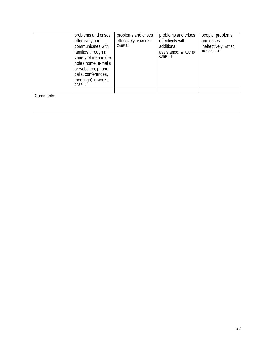|           | problems and crises<br>effectively and<br>communicates with<br>families through a<br>variety of means (i.e.<br>notes home, e-mails<br>or websites, phone<br>calls, conferences,<br>meetings). In TASC 10;<br>CAEP 1.1 | problems and crises<br>effectively. InTASC 10;<br>CAEP 1.1 | problems and crises<br>effectively with<br>additional<br>assistance. InTASC 10;<br>CAEP 1.1 | people, problems<br>and crises<br>ineffectively. InTASC<br>10; CAEP 1.1 |
|-----------|-----------------------------------------------------------------------------------------------------------------------------------------------------------------------------------------------------------------------|------------------------------------------------------------|---------------------------------------------------------------------------------------------|-------------------------------------------------------------------------|
|           |                                                                                                                                                                                                                       |                                                            |                                                                                             |                                                                         |
| Comments: |                                                                                                                                                                                                                       |                                                            |                                                                                             |                                                                         |